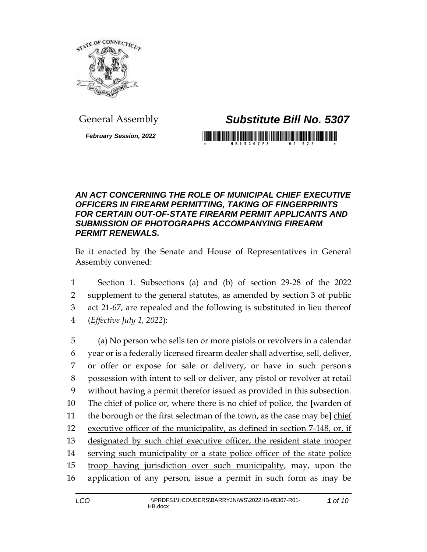

## General Assembly *Substitute Bill No. 5307*

*February Session, 2022*

<u> 1989 - Johann Maria Maria Maria Maria Maria Maria Maria Maria Maria Maria Maria Maria Maria Maria Maria Mari</u>

## *AN ACT CONCERNING THE ROLE OF MUNICIPAL CHIEF EXECUTIVE OFFICERS IN FIREARM PERMITTING, TAKING OF FINGERPRINTS FOR CERTAIN OUT-OF-STATE FIREARM PERMIT APPLICANTS AND SUBMISSION OF PHOTOGRAPHS ACCOMPANYING FIREARM PERMIT RENEWALS.*

Be it enacted by the Senate and House of Representatives in General Assembly convened:

 Section 1. Subsections (a) and (b) of section 29-28 of the 2022 supplement to the general statutes, as amended by section 3 of public act 21-67, are repealed and the following is substituted in lieu thereof (*Effective July 1, 2022*):

 (a) No person who sells ten or more pistols or revolvers in a calendar year or is a federally licensed firearm dealer shall advertise, sell, deliver, or offer or expose for sale or delivery, or have in such person's possession with intent to sell or deliver, any pistol or revolver at retail without having a permit therefor issued as provided in this subsection. The chief of police or, where there is no chief of police, the **[**warden of the borough or the first selectman of the town, as the case may be**]** chief executive officer of the municipality, as defined in section 7-148, or, if designated by such chief executive officer, the resident state trooper serving such municipality or a state police officer of the state police 15 troop having jurisdiction over such municipality, may, upon the application of any person, issue a permit in such form as may be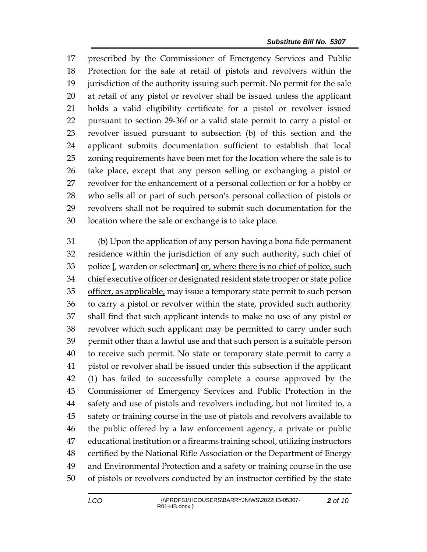prescribed by the Commissioner of Emergency Services and Public Protection for the sale at retail of pistols and revolvers within the jurisdiction of the authority issuing such permit. No permit for the sale at retail of any pistol or revolver shall be issued unless the applicant holds a valid eligibility certificate for a pistol or revolver issued pursuant to section 29-36f or a valid state permit to carry a pistol or revolver issued pursuant to subsection (b) of this section and the applicant submits documentation sufficient to establish that local zoning requirements have been met for the location where the sale is to take place, except that any person selling or exchanging a pistol or revolver for the enhancement of a personal collection or for a hobby or who sells all or part of such person's personal collection of pistols or revolvers shall not be required to submit such documentation for the location where the sale or exchange is to take place.

 (b) Upon the application of any person having a bona fide permanent residence within the jurisdiction of any such authority, such chief of police **[**, warden or selectman**]** or, where there is no chief of police, such 34 chief executive officer or designated resident state trooper or state police officer, as applicable, may issue a temporary state permit to such person to carry a pistol or revolver within the state, provided such authority shall find that such applicant intends to make no use of any pistol or revolver which such applicant may be permitted to carry under such permit other than a lawful use and that such person is a suitable person to receive such permit. No state or temporary state permit to carry a pistol or revolver shall be issued under this subsection if the applicant (1) has failed to successfully complete a course approved by the Commissioner of Emergency Services and Public Protection in the safety and use of pistols and revolvers including, but not limited to, a safety or training course in the use of pistols and revolvers available to the public offered by a law enforcement agency, a private or public educational institution or a firearms training school, utilizing instructors certified by the National Rifle Association or the Department of Energy and Environmental Protection and a safety or training course in the use of pistols or revolvers conducted by an instructor certified by the state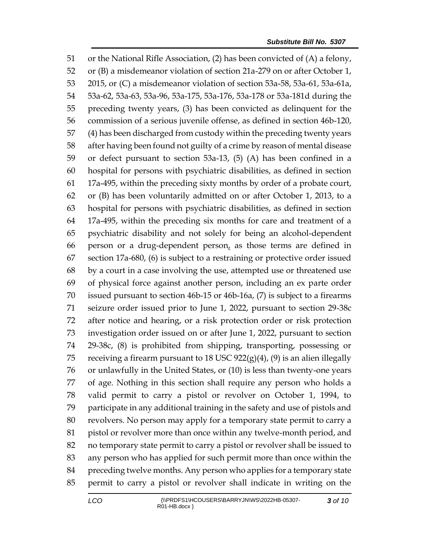or the National Rifle Association, (2) has been convicted of (A) a felony, or (B) a misdemeanor violation of section 21a-279 on or after October 1, 2015, or (C) a misdemeanor violation of section 53a-58, 53a-61, 53a-61a, 53a-62, 53a-63, 53a-96, 53a-175, 53a-176, 53a-178 or 53a-181d during the preceding twenty years, (3) has been convicted as delinquent for the commission of a serious juvenile offense, as defined in section 46b-120, (4) has been discharged from custody within the preceding twenty years after having been found not guilty of a crime by reason of mental disease or defect pursuant to section 53a-13, (5) (A) has been confined in a hospital for persons with psychiatric disabilities, as defined in section 17a-495, within the preceding sixty months by order of a probate court, or (B) has been voluntarily admitted on or after October 1, 2013, to a hospital for persons with psychiatric disabilities, as defined in section 17a-495, within the preceding six months for care and treatment of a psychiatric disability and not solely for being an alcohol-dependent person or a drug-dependent person, as those terms are defined in section 17a-680, (6) is subject to a restraining or protective order issued by a court in a case involving the use, attempted use or threatened use of physical force against another person, including an ex parte order issued pursuant to section 46b-15 or 46b-16a, (7) is subject to a firearms seizure order issued prior to June 1, 2022, pursuant to section 29-38c after notice and hearing, or a risk protection order or risk protection investigation order issued on or after June 1, 2022, pursuant to section 29-38c, (8) is prohibited from shipping, transporting, possessing or 75 receiving a firearm pursuant to 18 USC  $922(g)(4)$ , (9) is an alien illegally or unlawfully in the United States, or (10) is less than twenty-one years of age. Nothing in this section shall require any person who holds a valid permit to carry a pistol or revolver on October 1, 1994, to participate in any additional training in the safety and use of pistols and revolvers. No person may apply for a temporary state permit to carry a pistol or revolver more than once within any twelve-month period, and no temporary state permit to carry a pistol or revolver shall be issued to any person who has applied for such permit more than once within the preceding twelve months. Any person who applies for a temporary state permit to carry a pistol or revolver shall indicate in writing on the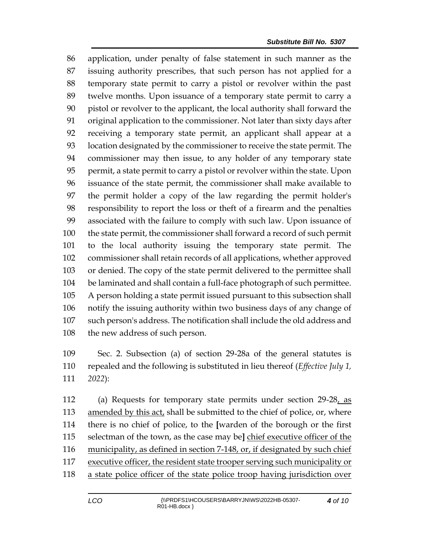application, under penalty of false statement in such manner as the issuing authority prescribes, that such person has not applied for a temporary state permit to carry a pistol or revolver within the past twelve months. Upon issuance of a temporary state permit to carry a pistol or revolver to the applicant, the local authority shall forward the original application to the commissioner. Not later than sixty days after receiving a temporary state permit, an applicant shall appear at a location designated by the commissioner to receive the state permit. The commissioner may then issue, to any holder of any temporary state permit, a state permit to carry a pistol or revolver within the state. Upon issuance of the state permit, the commissioner shall make available to the permit holder a copy of the law regarding the permit holder's responsibility to report the loss or theft of a firearm and the penalties associated with the failure to comply with such law. Upon issuance of the state permit, the commissioner shall forward a record of such permit to the local authority issuing the temporary state permit. The commissioner shall retain records of all applications, whether approved or denied. The copy of the state permit delivered to the permittee shall be laminated and shall contain a full-face photograph of such permittee. A person holding a state permit issued pursuant to this subsection shall notify the issuing authority within two business days of any change of such person's address. The notification shall include the old address and the new address of such person.

 Sec. 2. Subsection (a) of section 29-28a of the general statutes is repealed and the following is substituted in lieu thereof (*Effective July 1, 2022*):

 (a) Requests for temporary state permits under section 29-28, as 113 amended by this act, shall be submitted to the chief of police, or, where there is no chief of police, to the **[**warden of the borough or the first selectman of the town, as the case may be**]** chief executive officer of the municipality, as defined in section 7-148, or, if designated by such chief executive officer, the resident state trooper serving such municipality or a state police officer of the state police troop having jurisdiction over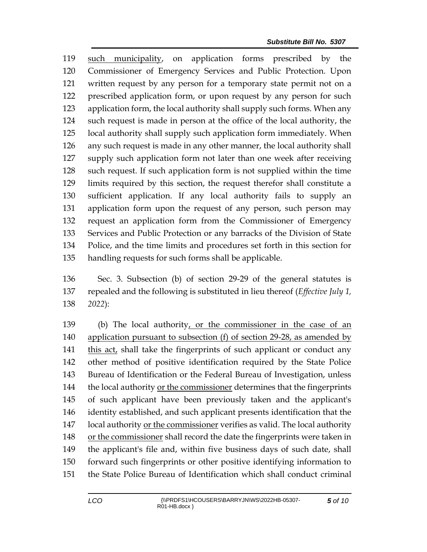such municipality, on application forms prescribed by the Commissioner of Emergency Services and Public Protection. Upon written request by any person for a temporary state permit not on a prescribed application form, or upon request by any person for such application form, the local authority shall supply such forms. When any such request is made in person at the office of the local authority, the local authority shall supply such application form immediately. When any such request is made in any other manner, the local authority shall supply such application form not later than one week after receiving such request. If such application form is not supplied within the time limits required by this section, the request therefor shall constitute a sufficient application. If any local authority fails to supply an application form upon the request of any person, such person may request an application form from the Commissioner of Emergency Services and Public Protection or any barracks of the Division of State Police, and the time limits and procedures set forth in this section for handling requests for such forms shall be applicable.

 Sec. 3. Subsection (b) of section 29-29 of the general statutes is repealed and the following is substituted in lieu thereof (*Effective July 1, 2022*):

 (b) The local authority, or the commissioner in the case of an application pursuant to subsection (f) of section 29-28, as amended by this act, shall take the fingerprints of such applicant or conduct any other method of positive identification required by the State Police Bureau of Identification or the Federal Bureau of Investigation, unless the local authority or the commissioner determines that the fingerprints of such applicant have been previously taken and the applicant's identity established, and such applicant presents identification that the local authority or the commissioner verifies as valid. The local authority or the commissioner shall record the date the fingerprints were taken in the applicant's file and, within five business days of such date, shall forward such fingerprints or other positive identifying information to the State Police Bureau of Identification which shall conduct criminal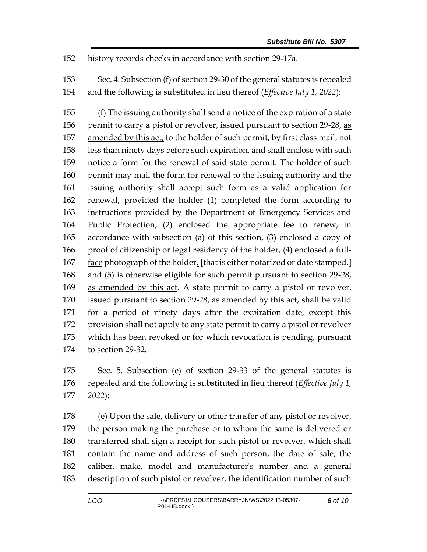history records checks in accordance with section 29-17a.

 Sec. 4. Subsection (f) of section 29-30 of the general statutes is repealed and the following is substituted in lieu thereof (*Effective July 1, 2022*):

 (f) The issuing authority shall send a notice of the expiration of a state 156 permit to carry a pistol or revolver, issued pursuant to section 29-28, as 157 amended by this act, to the holder of such permit, by first class mail, not less than ninety days before such expiration, and shall enclose with such notice a form for the renewal of said state permit. The holder of such permit may mail the form for renewal to the issuing authority and the issuing authority shall accept such form as a valid application for renewal, provided the holder (1) completed the form according to instructions provided by the Department of Emergency Services and Public Protection, (2) enclosed the appropriate fee to renew, in accordance with subsection (a) of this section, (3) enclosed a copy of 166 proof of citizenship or legal residency of the holder, (4) enclosed a full- face photograph of the holder, **[**that is either notarized or date stamped,**]** 168 and (5) is otherwise eligible for such permit pursuant to section  $29-28$ , as amended by this act. A state permit to carry a pistol or revolver, issued pursuant to section 29-28, as amended by this act, shall be valid for a period of ninety days after the expiration date, except this provision shall not apply to any state permit to carry a pistol or revolver which has been revoked or for which revocation is pending, pursuant to section 29-32.

 Sec. 5. Subsection (e) of section 29-33 of the general statutes is repealed and the following is substituted in lieu thereof (*Effective July 1, 2022*):

 (e) Upon the sale, delivery or other transfer of any pistol or revolver, the person making the purchase or to whom the same is delivered or transferred shall sign a receipt for such pistol or revolver, which shall contain the name and address of such person, the date of sale, the caliber, make, model and manufacturer's number and a general description of such pistol or revolver, the identification number of such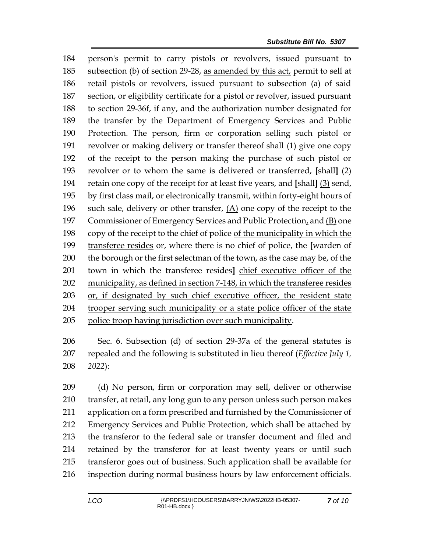person's permit to carry pistols or revolvers, issued pursuant to subsection (b) of section 29-28, as amended by this act, permit to sell at retail pistols or revolvers, issued pursuant to subsection (a) of said section, or eligibility certificate for a pistol or revolver, issued pursuant to section 29-36f, if any, and the authorization number designated for the transfer by the Department of Emergency Services and Public Protection. The person, firm or corporation selling such pistol or revolver or making delivery or transfer thereof shall (1) give one copy of the receipt to the person making the purchase of such pistol or revolver or to whom the same is delivered or transferred, **[**shall**]** (2) retain one copy of the receipt for at least five years, and **[**shall**]** (3) send, by first class mail, or electronically transmit, within forty-eight hours of such sale, delivery or other transfer, (A) one copy of the receipt to the Commissioner of Emergency Services and Public Protection, and (B) one copy of the receipt to the chief of police of the municipality in which the transferee resides or, where there is no chief of police, the **[**warden of 200 the borough or the first selectman of the town, as the case may be, of the town in which the transferee resides**]** chief executive officer of the municipality, as defined in section 7-148, in which the transferee resides or, if designated by such chief executive officer, the resident state trooper serving such municipality or a state police officer of the state police troop having jurisdiction over such municipality.

 Sec. 6. Subsection (d) of section 29-37a of the general statutes is repealed and the following is substituted in lieu thereof (*Effective July 1, 2022*):

 (d) No person, firm or corporation may sell, deliver or otherwise transfer, at retail, any long gun to any person unless such person makes application on a form prescribed and furnished by the Commissioner of Emergency Services and Public Protection, which shall be attached by the transferor to the federal sale or transfer document and filed and retained by the transferor for at least twenty years or until such transferor goes out of business. Such application shall be available for inspection during normal business hours by law enforcement officials.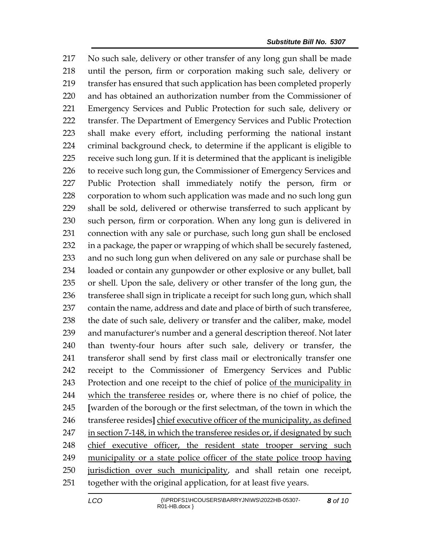No such sale, delivery or other transfer of any long gun shall be made until the person, firm or corporation making such sale, delivery or transfer has ensured that such application has been completed properly and has obtained an authorization number from the Commissioner of Emergency Services and Public Protection for such sale, delivery or transfer. The Department of Emergency Services and Public Protection shall make every effort, including performing the national instant criminal background check, to determine if the applicant is eligible to receive such long gun. If it is determined that the applicant is ineligible 226 to receive such long gun, the Commissioner of Emergency Services and Public Protection shall immediately notify the person, firm or corporation to whom such application was made and no such long gun shall be sold, delivered or otherwise transferred to such applicant by such person, firm or corporation. When any long gun is delivered in connection with any sale or purchase, such long gun shall be enclosed in a package, the paper or wrapping of which shall be securely fastened, and no such long gun when delivered on any sale or purchase shall be loaded or contain any gunpowder or other explosive or any bullet, ball or shell. Upon the sale, delivery or other transfer of the long gun, the transferee shall sign in triplicate a receipt for such long gun, which shall contain the name, address and date and place of birth of such transferee, 238 the date of such sale, delivery or transfer and the caliber, make, model and manufacturer's number and a general description thereof. Not later than twenty-four hours after such sale, delivery or transfer, the transferor shall send by first class mail or electronically transfer one receipt to the Commissioner of Emergency Services and Public Protection and one receipt to the chief of police of the municipality in which the transferee resides or, where there is no chief of police, the **[**warden of the borough or the first selectman, of the town in which the transferee resides**]** chief executive officer of the municipality, as defined 247 in section 7-148, in which the transferee resides or, if designated by such chief executive officer, the resident state trooper serving such municipality or a state police officer of the state police troop having jurisdiction over such municipality, and shall retain one receipt, together with the original application, for at least five years.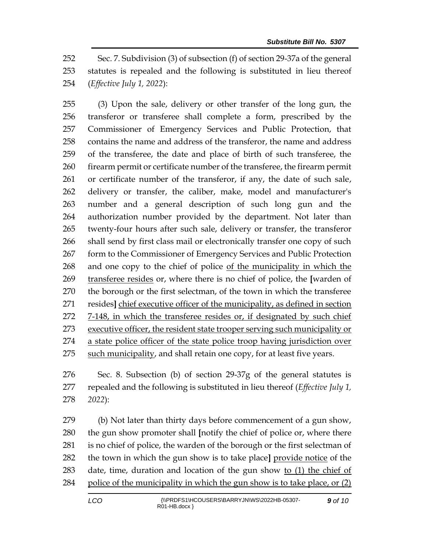Sec. 7. Subdivision (3) of subsection (f) of section 29-37a of the general statutes is repealed and the following is substituted in lieu thereof (*Effective July 1, 2022*):

 (3) Upon the sale, delivery or other transfer of the long gun, the transferor or transferee shall complete a form, prescribed by the Commissioner of Emergency Services and Public Protection, that contains the name and address of the transferor, the name and address of the transferee, the date and place of birth of such transferee, the firearm permit or certificate number of the transferee, the firearm permit or certificate number of the transferor, if any, the date of such sale, delivery or transfer, the caliber, make, model and manufacturer's number and a general description of such long gun and the authorization number provided by the department. Not later than twenty-four hours after such sale, delivery or transfer, the transferor shall send by first class mail or electronically transfer one copy of such 267 form to the Commissioner of Emergency Services and Public Protection and one copy to the chief of police of the municipality in which the transferee resides or, where there is no chief of police, the **[**warden of the borough or the first selectman, of the town in which the transferee resides**]** chief executive officer of the municipality, as defined in section 7-148, in which the transferee resides or, if designated by such chief executive officer, the resident state trooper serving such municipality or a state police officer of the state police troop having jurisdiction over 275 such municipality, and shall retain one copy, for at least five years.

 Sec. 8. Subsection (b) of section 29-37g of the general statutes is repealed and the following is substituted in lieu thereof (*Effective July 1, 2022*):

 (b) Not later than thirty days before commencement of a gun show, the gun show promoter shall **[**notify the chief of police or, where there is no chief of police, the warden of the borough or the first selectman of the town in which the gun show is to take place**]** provide notice of the date, time, duration and location of the gun show to (1) the chief of police of the municipality in which the gun show is to take place, or (2)